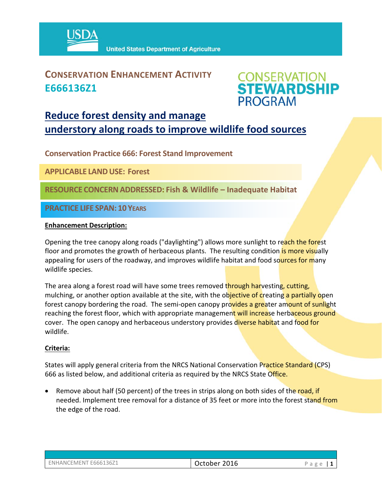

# **CONSERVATION ENHANCEMENT ACTIVITY E666136Z1**



# **Reduce forest density and manage understory along roads to improve wildlife food sources**

**Conservation Practice 666: Forest Stand Improvement** 

**APPLICABLE LANDUSE: Forest** 

**RESOURCE CONCERNADDRESSED: Fish & Wildlife – Inadequate Habitat**

**PRACTICE LIFE SPAN: 10 YEARS**

#### **Enhancement Description:**

Opening the tree canopy along roads ("daylighting") allows more sunlight to reach the forest floor and promotes the growth of herbaceous plants. The resulting condition is more visually appealing for users of the roadway, and improves wildlife habitat and food sources for many wildlife species.

The area along a forest road will have some trees removed through harvesting, cutting, mulching, or another option available at the site, with the objective of creating a partially open forest canopy bordering the road. The semi-open canopy provides a greater amount of sunlight reaching the forest floor, which with appropriate management will increase herbaceous ground cover. The open canopy and herbaceous understory provides diverse habitat and food for wildlife.

## **Criteria:**

States will apply general criteria from the NRCS National Conservation Practice Standard (CPS) 666 as listed below, and additional criteria as required by the NRCS State Office.

• Remove about half (50 percent) of the trees in strips along on both sides of the road, if needed. Implement tree removal for a distance of 35 feet or more into the forest stand from the edge of the road.

| ENHANCEMENT E666136Z1 |  |
|-----------------------|--|
|                       |  |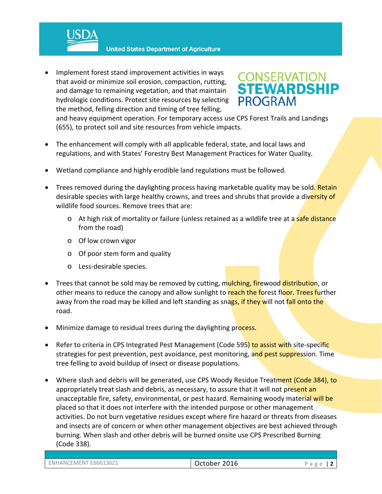- **United States Department of Agriculture**
- Implement forest stand improvement activities in ways that avoid or minimize soil erosion, compaction, rutting, and damage to remaining vegetation, and that maintain hydrologic conditions. Protect site resources by selecting the method, felling direction and timing of tree felling,



and heavy equipment operation. For temporary access use CPS Forest Trails and Landings (655), to protect soil and site resources from vehicle impacts.

- The enhancement will comply with all applicable federal, state, and local laws and regulations, and with States' Forestry Best Management Practices for Water Quality.
- Wetland compliance and highly erodible land regulations must be followed.
- Trees removed during the daylighting process having marketable quality may be sold. Retain desirable species with large healthy crowns, and trees and shrubs that provide a diversity of wildlife food sources. Remove trees that are:
	- o At high risk of mortality or failure (unless retained as a wildlife tree at a safe distance from the road)
	- o Of low crown vigor
	- o Of poor stem form and quality
	- o Less‐desirable species.
- Trees that cannot be sold may be removed by cutting, mulching, firewood distribution, or other means to reduce the canopy and allow sunlight to reach the forest floor. Trees further away from the road may be killed and left standing as snags, if they will not fall onto the road.
- Minimize damage to residual trees during the daylighting process.
- Refer to criteria in CPS Integrated Pest Management (Code 595) to assist with site-specific strategies for pest prevention, pest avoidance, pest monitoring, and pest suppression. Time tree felling to avoid buildup of insect or disease populations.
- Where slash and debris will be generated, use CPS Woody Residue Treatment (Code 384), to appropriately treat slash and debris, as necessary, to assure that it will not present an unacceptable fire, safety, environmental, or pest hazard. Remaining woody material will be placed so that it does not interfere with the intended purpose or other management activities. Do not burn vegetative residues except where fire hazard or threats from diseases and insects are of concern or when other management objectives are best achieved through burning. When slash and other debris will be burned onsite use CPS Prescribed Burning (Code 338).

| EMENT E666136Z1<br>ENHANCEI | 2016<br>October | $\sim$ |
|-----------------------------|-----------------|--------|
|-----------------------------|-----------------|--------|